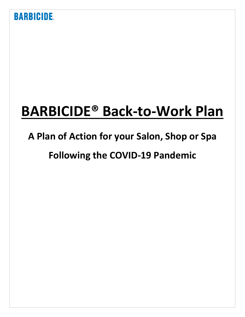# **BARBICIDE® Back-to-Work Plan**

# **A Plan of Action for your Salon, Shop or Spa**

# **Following the COVID-19 Pandemic**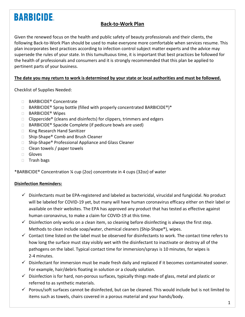### **Back-to-Work Plan**

Given the renewed focus on the health and public safety of beauty professionals and their clients, the following Back-to-Work Plan should be used to make everyone more comfortable when services resume. This plan incorporates best practices according to infection control subject matter experts and the advice may supersede the rules of your state. In this tumultuous time, it is important that best practices be followed for the health of professionals and consumers and it is strongly recommended that this plan be applied to pertinent parts of your business.

#### **The date you may return to work is determined by your state or local authorities and must be followed.**

Checklist of Supplies Needed:

- □ BARBICIDE<sup>®</sup> Concentrate
- $\Box$  BARBICIDE® Spray bottle (filled with properly concentrated BARBICIDE®)\*
- □ BARBICIDE<sup>®</sup> Wipes
- $\Box$  Clippercide<sup>®</sup> (cleans and disinfects) for clippers, trimmers and edgers
- $\Box$  BARBICIDE<sup>®</sup> Spacide Complete (if pedicure bowls are used)
- □ King Research Hand Sanitizer
- □ Ship-Shape® Comb and Brush Cleaner
- □ Ship-Shape® Professional Appliance and Glass Cleaner
- $\Box$  Clean towels / paper towels
- Gloves
- $\Box$  Trash bags

\*BARBICIDE® Concentration ¼ cup (2oz) concentrate in 4 cups (32oz) of water

#### **Disinfection Reminders:**

- $\checkmark$  Disinfectants must be EPA-registered and labeled as bactericidal, virucidal and fungicidal. No product will be labeled for COVID-19 yet, but many will have human coronavirus efficacy either on their label or available on their websites. The EPA has approved any product that has tested as effective against human coronavirus, to make a claim for COVID-19 at this time.
- $\checkmark$  Disinfection only works on a clean item, so cleaning before disinfecting is always the first step. Methods to clean include soap/water, chemical cleaners (Ship-Shape®), wipes.
- $\checkmark$  Contact time listed on the label must be observed for disinfectants to work. The contact time refers to how long the surface must stay visibly wet with the disinfectant to inactivate or destroy all of the pathogens on the label. Typical contact time for immersion/sprays is 10 minutes, for wipes is 2-4 minutes.
- $\checkmark$  Disinfectant for immersion must be made fresh daily and replaced if it becomes contaminated sooner. For example, hair/debris floating in solution or a cloudy solution.
- $\checkmark$  Disinfection is for hard, non-porous surfaces, typically things made of glass, metal and plastic or referred to as synthetic materials.
- $\checkmark$  Porous/soft surfaces cannot be disinfected, but can be cleaned. This would include but is not limited to items such as towels, chairs covered in a porous material and your hands/body.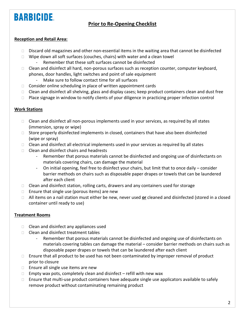### **Prior to Re-Opening Checklist**

#### **Reception and Retail Area:**

- $\Box$  Discard old magazines and other non-essential items in the waiting area that cannot be disinfected
- $\Box$  Wipe down all soft surfaces (couches, chairs) with water and a clean towel
	- Remember that these soft surfaces cannot be disinfected
- $\Box$  Clean and disinfect all hard, non-porous surfaces such as reception counter, computer keyboard, phones, door handles, light switches and point of sale equipment
	- Make sure to follow contact time for all surfaces
- $\Box$  Consider online scheduling in place of written appointment cards
- $\Box$  Clean and disinfect all shelving, glass and display cases; keep product containers clean and dust free
- $\Box$  Place signage in window to notify clients of your diligence in practicing proper infection control

#### **Work Stations**

- $\Box$  Clean and disinfect all non-porous implements used in your services, as required by all states (immersion, spray or wipe)
- $\Box$  Store properly disinfected implements in closed, containers that have also been disinfected (wipe or spray)
- $\Box$  Clean and disinfect all electrical implements used in your services as required by all states
- $\Box$  Clean and disinfect chairs and headrests
	- Remember that porous materials cannot be disinfected and ongoing use of disinfectants on materials covering chairs, can damage the material
	- On initial opening, feel free to disinfect your chairs, but limit that to once daily consider barrier methods on chairs such as disposable paper drapes or towels that can be laundered after each client
- $\Box$  Clean and disinfect station, rolling carts, drawers and any containers used for storage
- $\Box$  Ensure that single use (porous items) are new
- All items on a nail station must either be new, never used **or** cleaned and disinfected (stored in a closed container until ready to use)

#### **Treatment Rooms**

- $\Box$  Clean and disinfect any appliances used
- $\Box$  Clean and disinfect treatment tables
	- Remember that porous materials cannot be disinfected and ongoing use of disinfectants on materials covering tables can damage the material – consider barrier methods on chairs such as disposable paper drapes or towels that can be laundered after each client
- $\Box$  Ensure that all product to be used has not been contaminated by improper removal of product prior to closure
- $\Box$  Ensure all single use items are new
- $\Box$  Empty wax pots, completely clean and disinfect refill with new wax
- $\Box$  Ensure that multi-use product containers have adequate single use applicators available to safely remove product without contaminating remaining product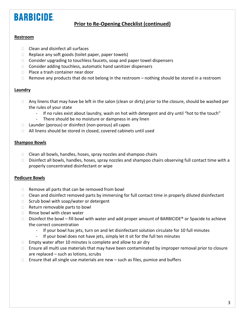### **Prior to Re-Opening Checklist (continued)**

#### **Restroom**

- $\Box$  Clean and disinfect all surfaces
- $\Box$  Replace any soft goods (toilet paper, paper towels)
- $\Box$  Consider upgrading to touchless faucets, soap and paper towel dispensers
- $\Box$  Consider adding touchless, automatic hand sanitizer dispensers
- □ Place a trash container near door
- $\Box$  Remove any products that do not belong in the restroom nothing should be stored in a restroom

#### **Laundry**

- $\Box$  Any linens that may have be left in the salon (clean or dirty) prior to the closure, should be washed per the rules of your state
	- If no rules exist about laundry, wash on hot with detergent and dry until "hot to the touch"
	- There should be no moisture or dampness in any linen
- $\Box$  Launder (porous) or disinfect (non-porous) all capes
- All linens should be stored in closed, covered cabinets until used

#### **Shampoo Bowls**

- $\Box$  Clean all bowls, handles, hoses, spray nozzles and shampoo chairs
- $\Box$  Disinfect all bowls, handles, hoses, spray nozzles and shampoo chairs observing full contact time with a properly concentrated disinfectant or wipe

#### **Pedicure Bowls**

- $\Box$  Remove all parts that can be removed from bowl
- $\Box$  Clean and disinfect removed parts by immersing for full contact time in properly diluted disinfectant
- $\Box$  Scrub bowl with soap/water or detergent
- $\Box$  Return removable parts to bowl
- $\Box$  Rinse bowl with clean water
- $\Box$  Disinfect the bowl fill bowl with water and add proper amount of BARBICIDE® or Spacide to achieve the correct concentration
	- If your bowl has jets, turn on and let disinfectant solution circulate for 10 full minutes
	- If your bowl does not have jets, simply let it sit for the full ten minutes
- $\Box$  Empty water after 10 minutes is complete and allow to air dry
- $\Box$  Ensure all multi use materials that may have been contaminated by improper removal prior to closure are replaced – such as lotions, scrubs
- $\Box$  Ensure that all single use materials are new  $-$  such as files, pumice and buffers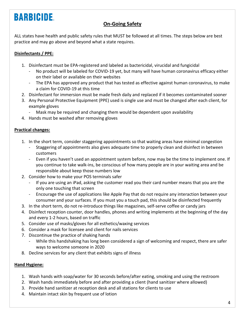### **On-Going Safety**

ALL states have health and public safety rules that MUST be followed at all times. The steps below are best practice and may go above and beyond what a state requires.

### **Disinfectants / PPE:**

- 1. Disinfectant must be EPA-registered and labeled as bactericidal, virucidal and fungicidal
	- No product will be labeled for COVID-19 yet, but many will have human coronavirus efficacy either on their label or available on their websites
	- The EPA has approved any product that has tested as effective against human coronavirus, to make a claim for COVID-19 at this time
- 2. Disinfectant for immersion must be made fresh daily and replaced if it becomes contaminated sooner
- 3. Any Personal Protective Equipment (PPE) used is single use and must be changed after each client, for example gloves
	- Mask may be required and changing them would be dependent upon availability
- 4. Hands must be washed after removing gloves

#### **Practical changes:**

- 1. In the short term, consider staggering appointments so that waiting areas have minimal congestion
	- Staggering of appointments also gives adequate time to properly clean and disinfect in between customers
	- Even if you haven't used an appointment system before, now may be the time to implement one. If you continue to take walk-ins, be conscious of how many people are in your waiting area and be responsible about keep those numbers low
- 2. Consider how to make your POS terminals safer
	- If you are using an iPad, asking the customer read you their card number means that you are the only one touching that screen
	- Encourage the use of applications like Apple Pay that do not require any interaction between your consumer and your surfaces. If you must you a touch pad, this should be disinfected frequently
- 3. In the short term, do not re-introduce things like magazines, self-serve coffee or candy jars
- 4. Disinfect reception counter, door handles, phones and writing implements at the beginning of the day and every 1-2 hours, based on traffic
- 5. Consider use of masks/gloves for all esthetics/waxing services
- 6. Consider a mask for licensee and client for nails services
- 7. Discontinue the practice of shaking hands
	- While this handshaking has long been considered a sign of welcoming and respect, there are safer ways to welcome someone in 2020
- 8. Decline services for any client that exhibits signs of illness

#### **Hand Hygiene:**

- 1. Wash hands with soap/water for 30 seconds before/after eating, smoking and using the restroom
- 2. Wash hands immediately before and after providing a client (hand sanitizer where allowed)
- 3. Provide hand sanitizer at reception desk and all stations for clients to use
- 4. Maintain intact skin by frequent use of lotion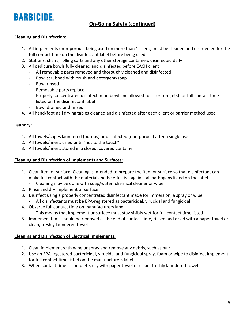### **On-Going Safety (continued)**

#### **Cleaning and Disinfection:**

- 1. All implements (non-porous) being used on more than 1 client, must be cleaned and disinfected for the full contact time on the disinfectant label before being used
- 2. Stations, chairs, rolling carts and any other storage containers disinfected daily
- 3. All pedicure bowls fully cleaned and disinfected before EACH client
	- All removable parts removed and thoroughly cleaned and disinfected
	- Bowl scrubbed with brush and detergent/soap
	- Bowl rinsed
	- Removable parts replace
	- Properly concentrated disinfectant in bowl and allowed to sit or run (jets) for full contact time listed on the disinfectant label
	- Bowl drained and rinsed
- 4. All hand/foot nail drying tables cleaned and disinfected after each client or barrier method used

#### **Laundry:**

- 1. All towels/capes laundered (porous) or disinfected (non-porous) after a single use
- 2. All towels/linens dried until "hot to the touch"
- 3. All towels/linens stored in a closed, covered container

#### **Cleaning and Disinfection of Implements and Surfaces:**

- 1. Clean item or surface: Cleaning is intended to prepare the item or surface so that disinfectant can make full contact with the material and be effective against all pathogens listed on the label
	- Cleaning may be done with soap/water, chemical cleaner or wipe
- 2. Rinse and dry implement or surface
- 3. Disinfect using a properly concentrated disinfectant made for immersion, a spray or wipe
	- All disinfectants must be EPA-registered as bactericidal, virucidal and fungicidal
- 4. Observe full contact time on manufacturers label
	- This means that implement or surface must stay visibly wet for full contact time listed
- 5. Immersed items should be removed at the end of contact time, rinsed and dried with a paper towel or clean, freshly laundered towel

#### **Cleaning and Disinfection of Electrical Implements:**

- 1. Clean implement with wipe or spray and remove any debris, such as hair
- 2. Use an EPA-registered bactericidal, virucidal and fungicidal spray, foam or wipe to disinfect implement for full contact time listed on the manufacturers label
- 3. When contact time is complete, dry with paper towel or clean, freshly laundered towel